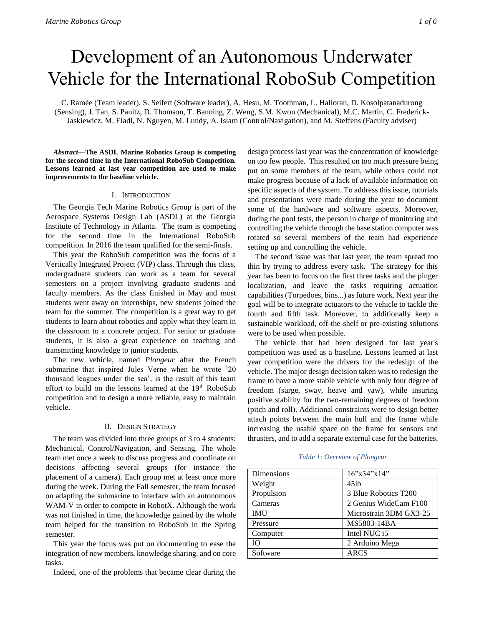# Development of an Autonomous Underwater Vehicle for the International RoboSub Competition

C. Ramée (Team leader), S. Seifert (Software leader), A. Hesu, M. Toothman, L. Halloran, D. Kosolpatanadurong (Sensing), J. Tan, S. Panitz, D. Thomson, T. Banning, Z. Weng, S.M. Kwon (Mechanical), M.C. Martin, C. Frederick-Jaskiewicz, M. Eladl, N. Nguyen, M. Lundy, A. Islam (Control/Navigation), and M. Steffens (Faculty adviser)

*Abstract***—The ASDL Marine Robotics Group is competing for the second time in the International RoboSub Competition. Lessons learned at last year competition are used to make improvements to the baseline vehicle.**

#### I. INTRODUCTION

The Georgia Tech Marine Robotics Group is part of the Aerospace Systems Design Lab (ASDL) at the Georgia Institute of Technology in Atlanta. The team is competing for the second time in the International RoboSub competition. In 2016 the team qualified for the semi-finals.

This year the RoboSub competition was the focus of a Vertically Integrated Project (VIP) class. Through this class, undergraduate students can work as a team for several semesters on a project involving graduate students and faculty members. As the class finished in May and most students went away on internships, new students joined the team for the summer. The competition is a great way to get students to learn about robotics and apply what they learn in the classroom to a concrete project. For senior or graduate students, it is also a great experience on teaching and transmitting knowledge to junior students.

The new vehicle, named *Plongeur* after the French submarine that inspired Jules Verne when he wrote '20 thousand leagues under the sea', is the result of this team effort to build on the lessons learned at the 19<sup>th</sup> RoboSub competition and to design a more reliable, easy to maintain vehicle.

# II. DESIGN STRATEGY

The team was divided into three groups of 3 to 4 students: Mechanical, Control/Navigation, and Sensing. The whole team met once a week to discuss progress and coordinate on decisions affecting several groups (for instance the placement of a camera). Each group met at least once more during the week. During the Fall semester, the team focused on adapting the submarine to interface with an autonomous WAM-V in order to compete in RobotX. Although the work was not finished in time, the knowledge gained by the whole team helped for the transition to RoboSub in the Spring semester.

This year the focus was put on documenting to ease the integration of new members, knowledge sharing, and on core tasks.

Indeed, one of the problems that became clear during the

design process last year was the concentration of knowledge on too few people. This resulted on too much pressure being put on some members of the team, while others could not make progress because of a lack of available information on specific aspects of the system. To address this issue, tutorials and presentations were made during the year to document some of the hardware and software aspects. Moreover, during the pool tests, the person in charge of monitoring and controlling the vehicle through the base station computer was rotated so several members of the team had experience setting up and controlling the vehicle.

The second issue was that last year, the team spread too thin by trying to address every task. The strategy for this year has been to focus on the first three tasks and the pinger localization, and leave the tasks requiring actuation capabilities (Torpedoes, bins...) as future work. Next year the goal will be to integrate actuators to the vehicle to tackle the fourth and fifth task. Moreover, to additionally keep a sustainable workload, off-the-shelf or pre-existing solutions were to be used when possible.

The vehicle that had been designed for last year's competition was used as a baseline. Lessons learned at last year competition were the drivers for the redesign of the vehicle. The major design decision taken was to redesign the frame to have a more stable vehicle with only four degree of freedom (surge, sway, heave and yaw), while insuring positive stability for the two-remaining degrees of freedom (pitch and roll). Additional constraints were to design better attach points between the main hull and the frame while increasing the usable space on the frame for sensors and thrusters, and to add a separate external case for the batteries.

#### *Table 1: Overview of Plongeur*

| Dimensions | 16"x34"x14"            |  |  |
|------------|------------------------|--|--|
| Weight     | $45$ lb                |  |  |
| Propulsion | 3 Blue Robotics T200   |  |  |
| Cameras    | 2 Genius WideCam F100  |  |  |
| <b>IMU</b> | Microstrain 3DM GX3-25 |  |  |
| Pressure   | MS5803-14BA            |  |  |
| Computer   | Intel NUC i5           |  |  |
| Ю          | 2 Arduino Mega         |  |  |
| Software   | <b>ARCS</b>            |  |  |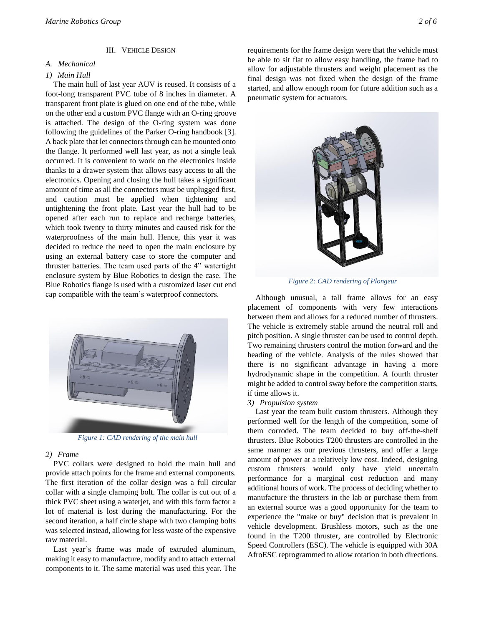#### III. VEHICLE DESIGN

# *A. Mechanical*

#### *1) Main Hull*

The main hull of last year AUV is reused. It consists of a foot-long transparent PVC tube of 8 inches in diameter. A transparent front plate is glued on one end of the tube, while on the other end a custom PVC flange with an O-ring groove is attached. The design of the O-ring system was done following the guidelines of the Parker O-ring handbook [3]. A back plate that let connectors through can be mounted onto the flange. It performed well last year, as not a single leak occurred. It is convenient to work on the electronics inside thanks to a drawer system that allows easy access to all the electronics. Opening and closing the hull takes a significant amount of time as all the connectors must be unplugged first, and caution must be applied when tightening and untightening the front plate. Last year the hull had to be opened after each run to replace and recharge batteries, which took twenty to thirty minutes and caused risk for the waterproofness of the main hull. Hence, this year it was decided to reduce the need to open the main enclosure by using an external battery case to store the computer and thruster batteries. The team used parts of the 4" watertight enclosure system by Blue Robotics to design the case. The Blue Robotics flange is used with a customized laser cut end cap compatible with the team's waterproof connectors.



*Figure 1: CAD rendering of the main hull*

#### *2) Frame*

PVC collars were designed to hold the main hull and provide attach points for the frame and external components. The first iteration of the collar design was a full circular collar with a single clamping bolt. The collar is cut out of a thick PVC sheet using a waterjet, and with this form factor a lot of material is lost during the manufacturing. For the second iteration, a half circle shape with two clamping bolts was selected instead, allowing for less waste of the expensive raw material.

Last year's frame was made of extruded aluminum, making it easy to manufacture, modify and to attach external components to it. The same material was used this year. The requirements for the frame design were that the vehicle must be able to sit flat to allow easy handling, the frame had to allow for adjustable thrusters and weight placement as the final design was not fixed when the design of the frame started, and allow enough room for future addition such as a pneumatic system for actuators.



*Figure 2: CAD rendering of Plongeur*

Although unusual, a tall frame allows for an easy placement of components with very few interactions between them and allows for a reduced number of thrusters. The vehicle is extremely stable around the neutral roll and pitch position. A single thruster can be used to control depth. Two remaining thrusters control the motion forward and the heading of the vehicle. Analysis of the rules showed that there is no significant advantage in having a more hydrodynamic shape in the competition. A fourth thruster might be added to control sway before the competition starts, if time allows it.

#### *3) Propulsion system*

Last year the team built custom thrusters. Although they performed well for the length of the competition, some of them corroded. The team decided to buy off-the-shelf thrusters. Blue Robotics T200 thrusters are controlled in the same manner as our previous thrusters, and offer a large amount of power at a relatively low cost. Indeed, designing custom thrusters would only have yield uncertain performance for a marginal cost reduction and many additional hours of work. The process of deciding whether to manufacture the thrusters in the lab or purchase them from an external source was a good opportunity for the team to experience the "make or buy" decision that is prevalent in vehicle development. Brushless motors, such as the one found in the T200 thruster, are controlled by Electronic Speed Controllers (ESC). The vehicle is equipped with 30A AfroESC reprogrammed to allow rotation in both directions.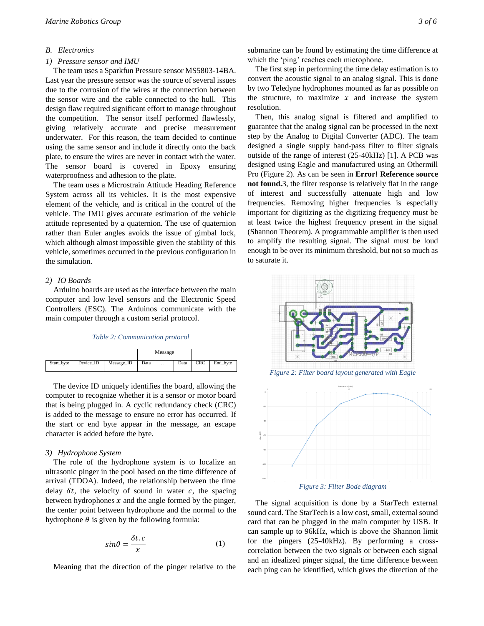# *B. Electronics*

### *1) Pressure sensor and IMU*

The team uses a Sparkfun Pressure sensor MS5803-14BA. Last year the pressure sensor was the source of several issues due to the corrosion of the wires at the connection between the sensor wire and the cable connected to the hull. This design flaw required significant effort to manage throughout the competition. The sensor itself performed flawlessly, giving relatively accurate and precise measurement underwater. For this reason, the team decided to continue using the same sensor and include it directly onto the back plate, to ensure the wires are never in contact with the water. The sensor board is covered in Epoxy ensuring waterproofness and adhesion to the plate.

The team uses a Microstrain Attitude Heading Reference System across all its vehicles. It is the most expensive element of the vehicle, and is critical in the control of the vehicle. The IMU gives accurate estimation of the vehicle attitude represented by a quaternion. The use of quaternion rather than Euler angles avoids the issue of gimbal lock, which although almost impossible given the stability of this vehicle, sometimes occurred in the previous configuration in the simulation.

### *2) IO Boards*

Arduino boards are used as the interface between the main computer and low level sensors and the Electronic Speed Controllers (ESC). The Arduinos communicate with the main computer through a custom serial protocol.

# *Table 2: Communication protocol*

|            |           |            | Message |          |      |            |          |
|------------|-----------|------------|---------|----------|------|------------|----------|
| Start_byte | Device ID | Message_ID | Data    | $\cdots$ | Data | <b>CRC</b> | End byte |

The device ID uniquely identifies the board, allowing the computer to recognize whether it is a sensor or motor board that is being plugged in. A cyclic redundancy check (CRC) is added to the message to ensure no error has occurred. If the start or end byte appear in the message, an escape character is added before the byte.

#### *3) Hydrophone System*

The role of the hydrophone system is to localize an ultrasonic pinger in the pool based on the time difference of arrival (TDOA). Indeed, the relationship between the time delay  $\delta t$ , the velocity of sound in water  $c$ , the spacing between hydrophones  $x$  and the angle formed by the pinger, the center point between hydrophone and the normal to the hydrophone  $\theta$  is given by the following formula:

$$
sin\theta = \frac{\delta t.c}{x} \tag{1}
$$

Meaning that the direction of the pinger relative to the

submarine can be found by estimating the time difference at which the 'ping' reaches each microphone.

The first step in performing the time delay estimation is to convert the acoustic signal to an analog signal. This is done by two Teledyne hydrophones mounted as far as possible on the structure, to maximize  $x$  and increase the system resolution.

Then, this analog signal is filtered and amplified to guarantee that the analog signal can be processed in the next step by the Analog to Digital Converter (ADC). The team designed a single supply band-pass filter to filter signals outside of the range of interest (25-40kHz) [1]. A PCB was designed using Eagle and manufactured using an Othermill Pro (Figure 2). As can be seen in **Error! Reference source not found.**3, the filter response is relatively flat in the range of interest and successfully attenuate high and low frequencies. Removing higher frequencies is especially important for digitizing as the digitizing frequency must be at least twice the highest frequency present in the signal (Shannon Theorem). A programmable amplifier is then used to amplify the resulting signal. The signal must be loud enough to be over its minimum threshold, but not so much as to saturate it.





*Figure 3: Filter Bode diagram*

The signal acquisition is done by a StarTech external sound card. The StarTech is a low cost, small, external sound card that can be plugged in the main computer by USB. It can sample up to 96kHz, which is above the Shannon limit for the pingers (25-40kHz). By performing a crosscorrelation between the two signals or between each signal and an idealized pinger signal, the time difference between each ping can be identified, which gives the direction of the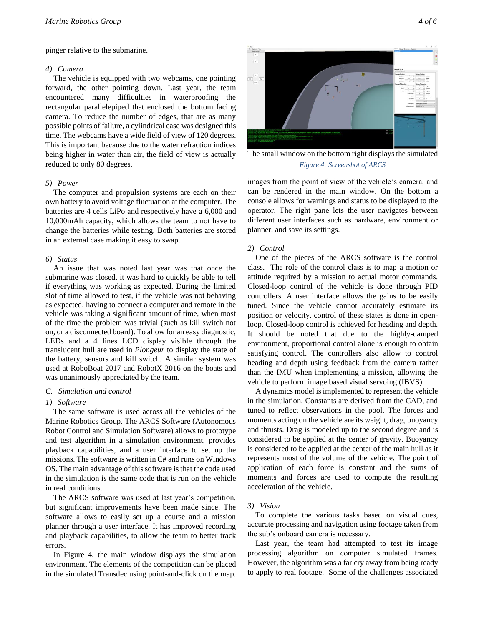pinger relative to the submarine.

#### *4) Camera*

The vehicle is equipped with two webcams, one pointing forward, the other pointing down. Last year, the team encountered many difficulties in waterproofing the rectangular parallelepiped that enclosed the bottom facing camera. To reduce the number of edges, that are as many possible points of failure, a cylindrical case was designed this time. The webcams have a wide field of view of 120 degrees. This is important because due to the water refraction indices being higher in water than air, the field of view is actually reduced to only 80 degrees.

#### *5) Power*

The computer and propulsion systems are each on their own battery to avoid voltage fluctuation at the computer. The batteries are 4 cells LiPo and respectively have a 6,000 and 10,000mAh capacity, which allows the team to not have to change the batteries while testing. Both batteries are stored in an external case making it easy to swap.

# *6) Status*

An issue that was noted last year was that once the submarine was closed, it was hard to quickly be able to tell if everything was working as expected. During the limited slot of time allowed to test, if the vehicle was not behaving as expected, having to connect a computer and remote in the vehicle was taking a significant amount of time, when most of the time the problem was trivial (such as kill switch not on, or a disconnected board). To allow for an easy diagnostic, LEDs and a 4 lines LCD display visible through the translucent hull are used in *Plongeur* to display the state of the battery, sensors and kill switch. A similar system was used at RoboBoat 2017 and RobotX 2016 on the boats and was unanimously appreciated by the team.

#### *C. Simulation and control*

#### *1) Software*

The same software is used across all the vehicles of the Marine Robotics Group. The ARCS Software (Autonomous Robot Control and Simulation Software) allows to prototype and test algorithm in a simulation environment, provides playback capabilities, and a user interface to set up the missions. The software is written in C# and runs on Windows OS. The main advantage of this software is that the code used in the simulation is the same code that is run on the vehicle in real conditions.

The ARCS software was used at last year's competition, but significant improvements have been made since. The software allows to easily set up a course and a mission planner through a user interface. It has improved recording and playback capabilities, to allow the team to better track errors.

In [Figure 4,](#page-3-0) the main window displays the simulation environment. The elements of the competition can be placed in the simulated Transdec using point-and-click on the map.

<span id="page-3-0"></span>The small window on the bottom right displays the simulated *Figure 4: Screenshot of ARCS*

images from the point of view of the vehicle's camera, and can be rendered in the main window. On the bottom a console allows for warnings and status to be displayed to the operator. The right pane lets the user navigates between different user interfaces such as hardware, environment or planner, and save its settings.

#### *2) Control*

One of the pieces of the ARCS software is the control class. The role of the control class is to map a motion or attitude required by a mission to actual motor commands. Closed-loop control of the vehicle is done through PID controllers. A user interface allows the gains to be easily tuned. Since the vehicle cannot accurately estimate its position or velocity, control of these states is done in openloop. Closed-loop control is achieved for heading and depth. It should be noted that due to the highly-damped environment, proportional control alone is enough to obtain satisfying control. The controllers also allow to control heading and depth using feedback from the camera rather than the IMU when implementing a mission, allowing the vehicle to perform image based visual servoing (IBVS).

A dynamics model is implemented to represent the vehicle in the simulation. Constants are derived from the CAD, and tuned to reflect observations in the pool. The forces and moments acting on the vehicle are its weight, drag, buoyancy and thrusts. Drag is modeled up to the second degree and is considered to be applied at the center of gravity. Buoyancy is considered to be applied at the center of the main hull as it represents most of the volume of the vehicle. The point of application of each force is constant and the sums of moments and forces are used to compute the resulting acceleration of the vehicle.

#### *3) Vision*

To complete the various tasks based on visual cues, accurate processing and navigation using footage taken from the sub's onboard camera is necessary.

Last year, the team had attempted to test its image processing algorithm on computer simulated frames. However, the algorithm was a far cry away from being ready to apply to real footage. Some of the challenges associated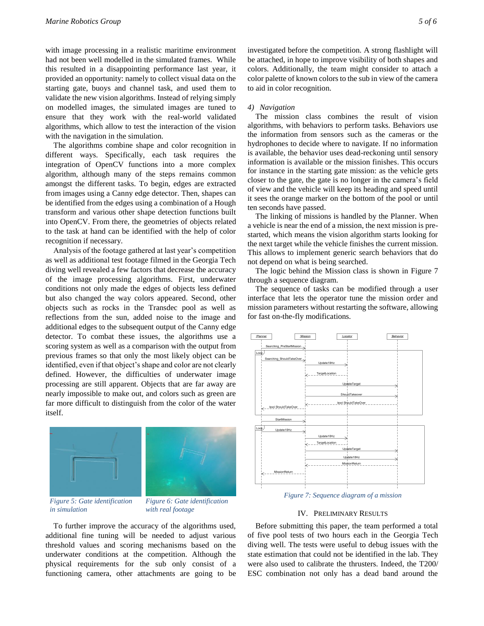with image processing in a realistic maritime environment had not been well modelled in the simulated frames. While this resulted in a disappointing performance last year, it provided an opportunity: namely to collect visual data on the starting gate, buoys and channel task, and used them to validate the new vision algorithms. Instead of relying simply on modelled images, the simulated images are tuned to ensure that they work with the real-world validated algorithms, which allow to test the interaction of the vision with the navigation in the simulation.

The algorithms combine shape and color recognition in different ways. Specifically, each task requires the integration of OpenCV functions into a more complex algorithm, although many of the steps remains common amongst the different tasks. To begin, edges are extracted from images using a Canny edge detector. Then, shapes can be identified from the edges using a combination of a Hough transform and various other shape detection functions built into OpenCV. From there, the geometries of objects related to the task at hand can be identified with the help of color recognition if necessary.

Analysis of the footage gathered at last year's competition as well as additional test footage filmed in the Georgia Tech diving well revealed a few factors that decrease the accuracy of the image processing algorithms. First, underwater conditions not only made the edges of objects less defined but also changed the way colors appeared. Second, other objects such as rocks in the Transdec pool as well as reflections from the sun, added noise to the image and additional edges to the subsequent output of the Canny edge detector. To combat these issues, the algorithms use a scoring system as well as a comparison with the output from previous frames so that only the most likely object can be identified, even if that object's shape and color are not clearly defined. However, the difficulties of underwater image processing are still apparent. Objects that are far away are nearly impossible to make out, and colors such as green are far more difficult to distinguish from the color of the water itself.



*Figure 5: Gate identification in simulation*

*Figure 6: Gate identification with real footage*

To further improve the accuracy of the algorithms used, additional fine tuning will be needed to adjust various threshold values and scoring mechanisms based on the underwater conditions at the competition. Although the physical requirements for the sub only consist of a functioning camera, other attachments are going to be investigated before the competition. A strong flashlight will be attached, in hope to improve visibility of both shapes and colors. Additionally, the team might consider to attach a color palette of known colors to the sub in view of the camera to aid in color recognition.

#### *4) Navigation*

The mission class combines the result of vision algorithms, with behaviors to perform tasks. Behaviors use the information from sensors such as the cameras or the hydrophones to decide where to navigate. If no information is available, the behavior uses dead-reckoning until sensory information is available or the mission finishes. This occurs for instance in the starting gate mission: as the vehicle gets closer to the gate, the gate is no longer in the camera's field of view and the vehicle will keep its heading and speed until it sees the orange marker on the bottom of the pool or until ten seconds have passed.

The linking of missions is handled by the Planner. When a vehicle is near the end of a mission, the next mission is prestarted, which means the vision algorithm starts looking for the next target while the vehicle finishes the current mission. This allows to implement generic search behaviors that do not depend on what is being searched.

The logic behind the Mission class is shown in [Figure 7](#page-4-0) through a sequence diagram.

The sequence of tasks can be modified through a user interface that lets the operator tune the mission order and mission parameters without restarting the software, allowing for fast on-the-fly modifications.



*Figure 7: Sequence diagram of a mission*

# IV. PRELIMINARY RESULTS

<span id="page-4-0"></span>Before submitting this paper, the team performed a total of five pool tests of two hours each in the Georgia Tech diving well. The tests were useful to debug issues with the state estimation that could not be identified in the lab. They were also used to calibrate the thrusters. Indeed, the T200/ ESC combination not only has a dead band around the